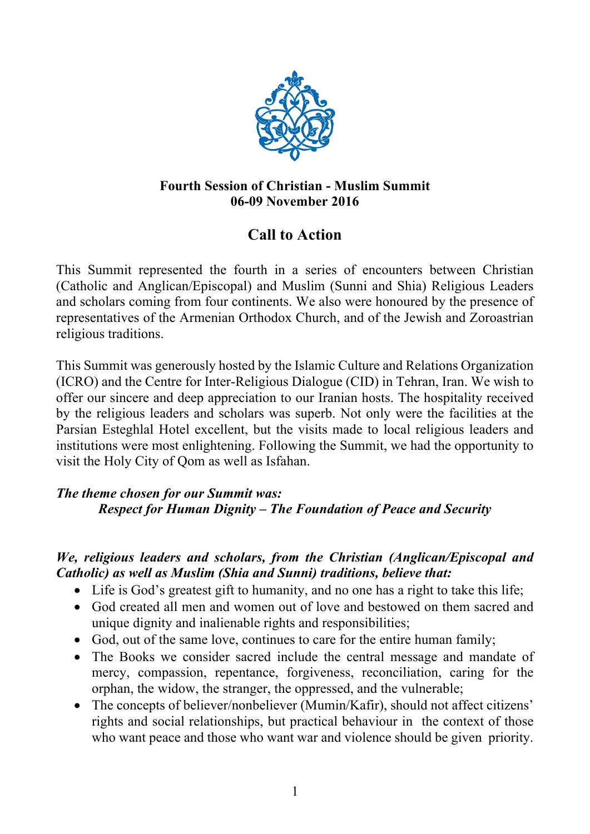

## **Fourth Session of Christian - Muslim Summit 06-09 November 2016**

# **Call to Action**

This Summit represented the fourth in a series of encounters between Christian (Catholic and Anglican/Episcopal) and Muslim (Sunni and Shia) Religious Leaders and scholars coming from four continents. We also were honoured by the presence of representatives of the Armenian Orthodox Church, and of the Jewish and Zoroastrian religious traditions.

This Summit was generously hosted by the Islamic Culture and Relations Organization (ICRO) and the Centre for Inter-Religious Dialogue (CID) in Tehran, Iran. We wish to offer our sincere and deep appreciation to our Iranian hosts. The hospitality received by the religious leaders and scholars was superb. Not only were the facilities at the Parsian Esteghlal Hotel excellent, but the visits made to local religious leaders and institutions were most enlightening. Following the Summit, we had the opportunity to visit the Holy City of Qom as well as Isfahan.

## *The theme chosen for our Summit was: Respect for Human Dignity – The Foundation of Peace and Security*

#### *We, religious leaders and scholars, from the Christian (Anglican/Episcopal and Catholic) as well as Muslim (Shia and Sunni) traditions, believe that:*

- Life is God's greatest gift to humanity, and no one has a right to take this life;
- God created all men and women out of love and bestowed on them sacred and unique dignity and inalienable rights and responsibilities;
- God, out of the same love, continues to care for the entire human family;
- The Books we consider sacred include the central message and mandate of mercy, compassion, repentance, forgiveness, reconciliation, caring for the orphan, the widow, the stranger, the oppressed, and the vulnerable;
- The concepts of believer/nonbeliever (Mumin/Kafir), should not affect citizens' rights and social relationships, but practical behaviour in the context of those who want peace and those who want war and violence should be given priority.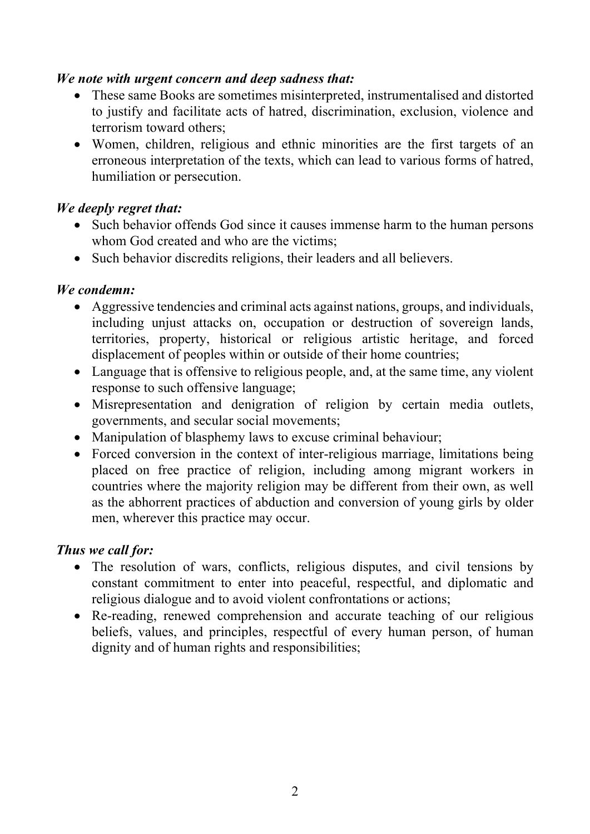#### *We note with urgent concern and deep sadness that:*

- These same Books are sometimes misinterpreted, instrumentalised and distorted to justify and facilitate acts of hatred, discrimination, exclusion, violence and terrorism toward others;
- Women, children, religious and ethnic minorities are the first targets of an erroneous interpretation of the texts, which can lead to various forms of hatred, humiliation or persecution.

#### *We deeply regret that:*

- Such behavior offends God since it causes immense harm to the human persons whom God created and who are the victims;
- Such behavior discredits religions, their leaders and all believers.

#### *We condemn:*

- Aggressive tendencies and criminal acts against nations, groups, and individuals, including unjust attacks on, occupation or destruction of sovereign lands, territories, property, historical or religious artistic heritage, and forced displacement of peoples within or outside of their home countries;
- Language that is offensive to religious people, and, at the same time, any violent response to such offensive language;
- Misrepresentation and denigration of religion by certain media outlets, governments, and secular social movements;
- Manipulation of blasphemy laws to excuse criminal behaviour;
- Forced conversion in the context of inter-religious marriage, limitations being placed on free practice of religion, including among migrant workers in countries where the majority religion may be different from their own, as well as the abhorrent practices of abduction and conversion of young girls by older men, wherever this practice may occur.

#### *Thus we call for:*

- The resolution of wars, conflicts, religious disputes, and civil tensions by constant commitment to enter into peaceful, respectful, and diplomatic and religious dialogue and to avoid violent confrontations or actions;
- Re-reading, renewed comprehension and accurate teaching of our religious beliefs, values, and principles, respectful of every human person, of human dignity and of human rights and responsibilities;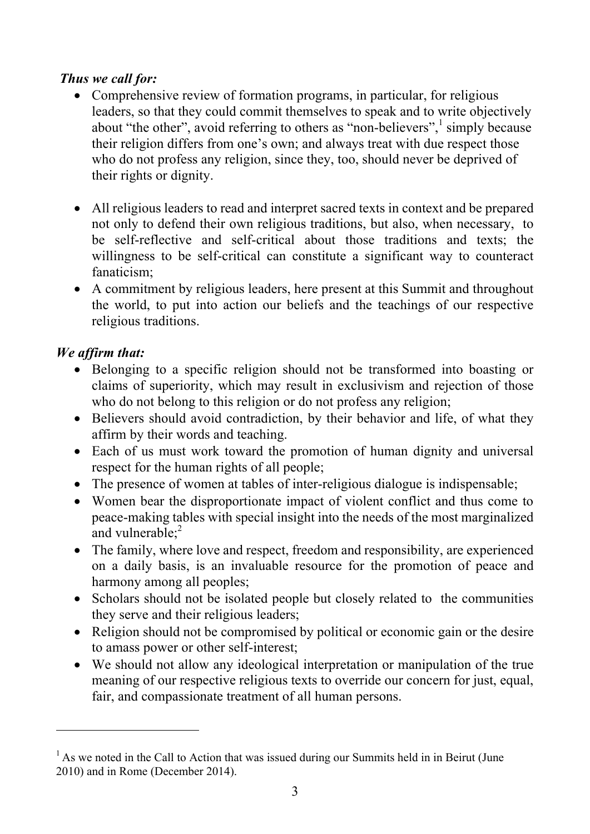## *Thus we call for:*

- Comprehensive review of formation programs, in particular, for religious leaders, so that they could commit themselves to speak and to write objectively about "the other", avoid referring to others as "non-believers", simply because their religion differs from one's own; and always treat with due respect those who do not profess any religion, since they, too, should never be deprived of their rights or dignity.
- All religious leaders to read and interpret sacred texts in context and be prepared not only to defend their own religious traditions, but also, when necessary, to be self-reflective and self-critical about those traditions and texts; the willingness to be self-critical can constitute a significant way to counteract fanaticism;
- A commitment by religious leaders, here present at this Summit and throughout the world, to put into action our beliefs and the teachings of our respective religious traditions.

# *We affirm that:*

-

- Belonging to a specific religion should not be transformed into boasting or claims of superiority, which may result in exclusivism and rejection of those who do not belong to this religion or do not profess any religion;
- Believers should avoid contradiction, by their behavior and life, of what they affirm by their words and teaching.
- Each of us must work toward the promotion of human dignity and universal respect for the human rights of all people;
- The presence of women at tables of inter-religious dialogue is indispensable;
- Women bear the disproportionate impact of violent conflict and thus come to peace-making tables with special insight into the needs of the most marginalized and vulnerable;<sup>2</sup>
- The family, where love and respect, freedom and responsibility, are experienced on a daily basis, is an invaluable resource for the promotion of peace and harmony among all peoples;
- Scholars should not be isolated people but closely related to the communities they serve and their religious leaders;
- Religion should not be compromised by political or economic gain or the desire to amass power or other self-interest;
- We should not allow any ideological interpretation or manipulation of the true meaning of our respective religious texts to override our concern for just, equal, fair, and compassionate treatment of all human persons.

 $<sup>1</sup>$  As we noted in the Call to Action that was issued during our Summits held in in Beirut (June</sup> 2010) and in Rome (December 2014).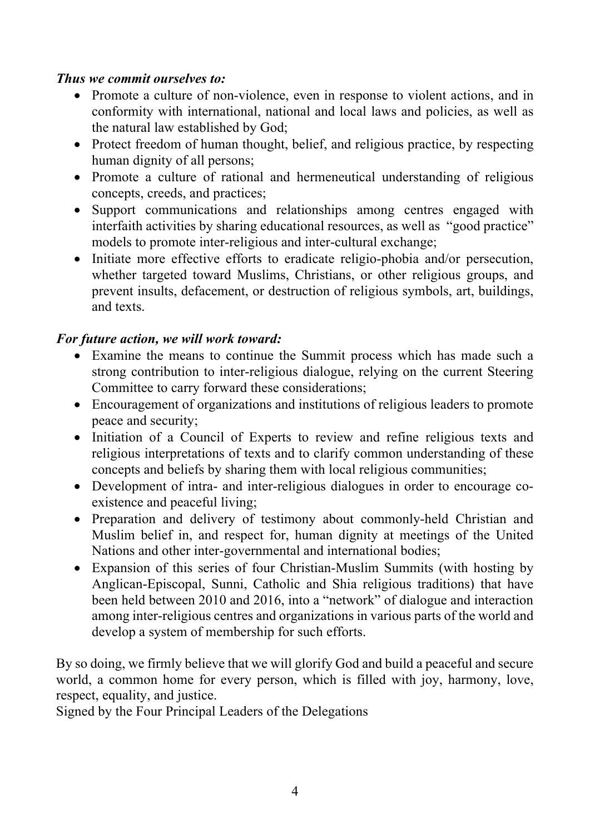#### *Thus we commit ourselves to:*

- Promote a culture of non-violence, even in response to violent actions, and in conformity with international, national and local laws and policies, as well as the natural law established by God;
- Protect freedom of human thought, belief, and religious practice, by respecting human dignity of all persons;
- Promote a culture of rational and hermeneutical understanding of religious concepts, creeds, and practices;
- Support communications and relationships among centres engaged with interfaith activities by sharing educational resources, as well as "good practice" models to promote inter-religious and inter-cultural exchange;
- Initiate more effective efforts to eradicate religio-phobia and/or persecution, whether targeted toward Muslims, Christians, or other religious groups, and prevent insults, defacement, or destruction of religious symbols, art, buildings, and texts.

#### *For future action, we will work toward:*

- Examine the means to continue the Summit process which has made such a strong contribution to inter-religious dialogue, relying on the current Steering Committee to carry forward these considerations;
- Encouragement of organizations and institutions of religious leaders to promote peace and security;
- Initiation of a Council of Experts to review and refine religious texts and religious interpretations of texts and to clarify common understanding of these concepts and beliefs by sharing them with local religious communities;
- Development of intra- and inter-religious dialogues in order to encourage coexistence and peaceful living;
- Preparation and delivery of testimony about commonly-held Christian and Muslim belief in, and respect for, human dignity at meetings of the United Nations and other inter-governmental and international bodies;
- Expansion of this series of four Christian-Muslim Summits (with hosting by Anglican-Episcopal, Sunni, Catholic and Shia religious traditions) that have been held between 2010 and 2016, into a "network" of dialogue and interaction among inter-religious centres and organizations in various parts of the world and develop a system of membership for such efforts.

By so doing, we firmly believe that we will glorify God and build a peaceful and secure world, a common home for every person, which is filled with joy, harmony, love, respect, equality, and justice.

Signed by the Four Principal Leaders of the Delegations